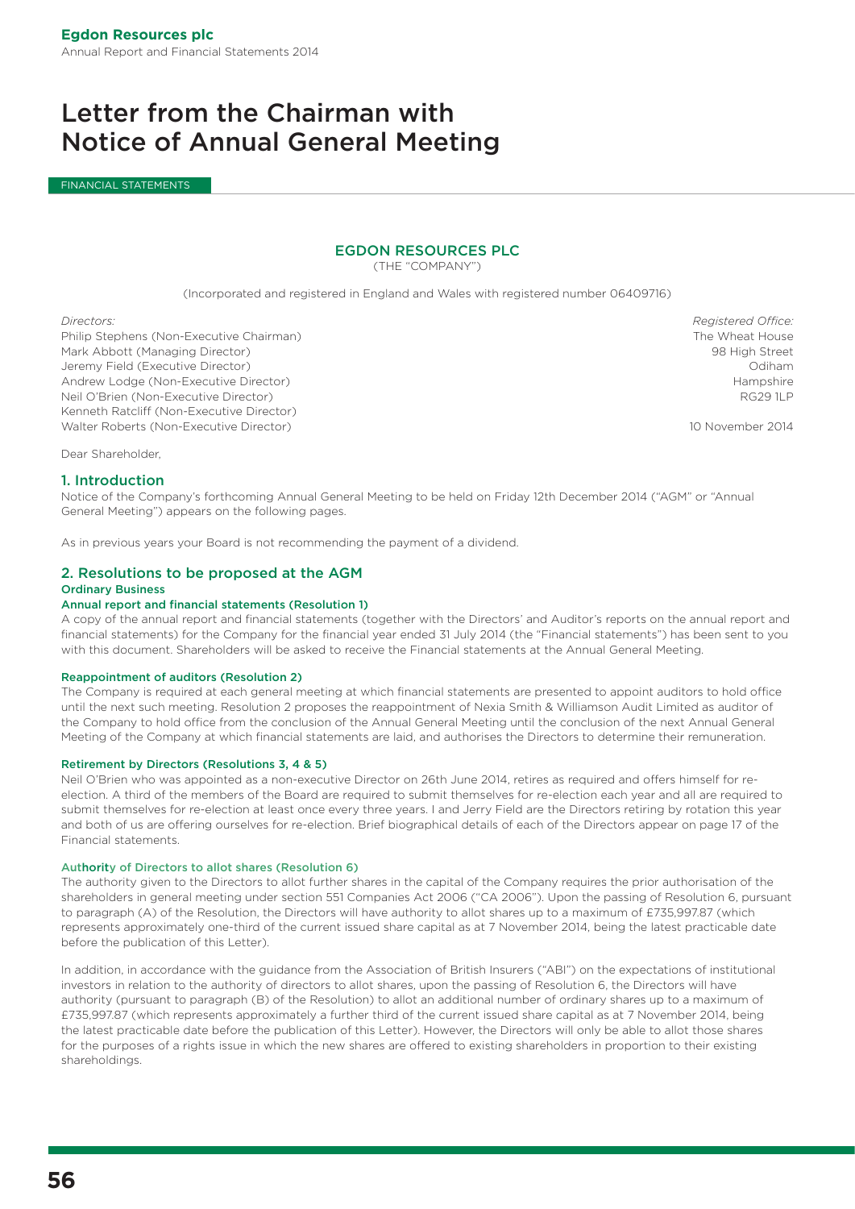### Letter from the Chairman with Notice of Annual General Meeting

FINANCIAL STATEMENTS

### EGDON RESOURCES PLC

(THE "COMPANY")

(Incorporated and registered in England and Wales with registered number 06409716)

Philip Stephens (Non-Executive Chairman) The Wheat House The Wheat House The Wheat House Mark Abbott (Managing Director) 98 High Street Jeremy Field (Executive Director) Odiham Andrew Lodge (Non-Executive Director) and the state of the state of the state of the state of the state of the state of the state of the state of the state of the state of the state of the state of the state of the state o Neil O'Brien (Non-Executive Director) RG29 1LP Kenneth Ratcliff (Non-Executive Director) Walter Roberts (Non-Executive Director) 10 November 2014

*Directors: Registered Office:*

Dear Shareholder,

#### 1. Introduction

Notice of the Company's forthcoming Annual General Meeting to be held on Friday 12th December 2014 ("AGM" or "Annual General Meeting") appears on the following pages.

As in previous years your Board is not recommending the payment of a dividend.

#### 2. Resolutions to be proposed at the AGM Ordinary Business

#### Annual report and financial statements (Resolution 1)

A copy of the annual report and financial statements (together with the Directors' and Auditor's reports on the annual report and financial statements) for the Company for the financial year ended 31 July 2014 (the "Financial statements") has been sent to you with this document. Shareholders will be asked to receive the Financial statements at the Annual General Meeting.

#### Reappointment of auditors (Resolution 2)

The Company is required at each general meeting at which financial statements are presented to appoint auditors to hold office until the next such meeting. Resolution 2 proposes the reappointment of Nexia Smith & Williamson Audit Limited as auditor of the Company to hold office from the conclusion of the Annual General Meeting until the conclusion of the next Annual General Meeting of the Company at which financial statements are laid, and authorises the Directors to determine their remuneration.

#### Retirement by Directors (Resolutions 3, 4 & 5)

Neil O'Brien who was appointed as a non-executive Director on 26th June 2014, retires as required and offers himself for reelection. A third of the members of the Board are required to submit themselves for re-election each year and all are required to submit themselves for re-election at least once every three years. I and Jerry Field are the Directors retiring by rotation this year and both of us are offering ourselves for re-election. Brief biographical details of each of the Directors appear on page 17 of the Financial statements.

#### Authority of Directors to allot shares (Resolution 6)

The authority given to the Directors to allot further shares in the capital of the Company requires the prior authorisation of the shareholders in general meeting under section 551 Companies Act 2006 ("CA 2006"). Upon the passing of Resolution 6, pursuant to paragraph (A) of the Resolution, the Directors will have authority to allot shares up to a maximum of £735,997.87 (which represents approximately one-third of the current issued share capital as at 7 November 2014, being the latest practicable date before the publication of this Letter).

In addition, in accordance with the guidance from the Association of British Insurers ("ABI") on the expectations of institutional investors in relation to the authority of directors to allot shares, upon the passing of Resolution 6, the Directors will have authority (pursuant to paragraph (B) of the Resolution) to allot an additional number of ordinary shares up to a maximum of £735,997.87 (which represents approximately a further third of the current issued share capital as at 7 November 2014, being the latest practicable date before the publication of this Letter). However, the Directors will only be able to allot those shares for the purposes of a rights issue in which the new shares are offered to existing shareholders in proportion to their existing shareholdings.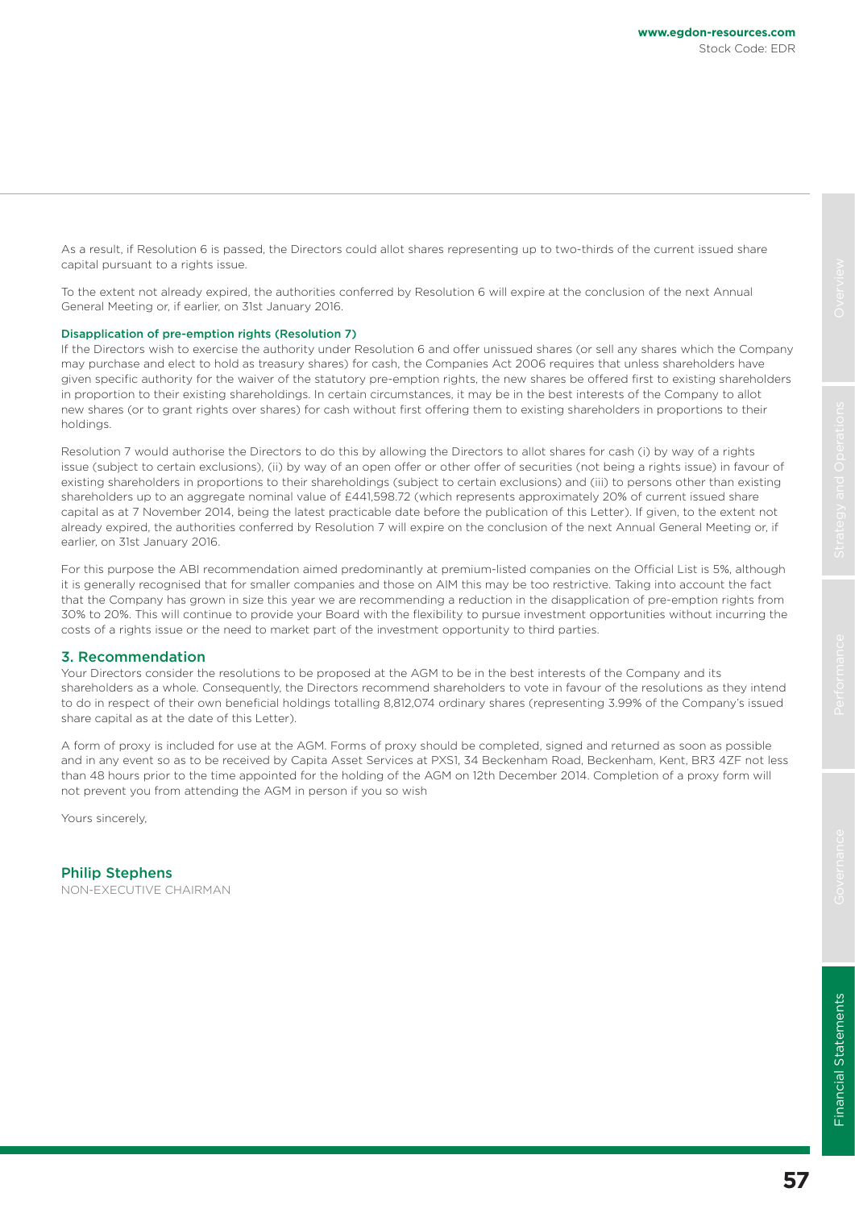As a result, if Resolution 6 is passed, the Directors could allot shares representing up to two-thirds of the current issued share capital pursuant to a rights issue.

To the extent not already expired, the authorities conferred by Resolution 6 will expire at the conclusion of the next Annual General Meeting or, if earlier, on 31st January 2016.

#### Disapplication of pre-emption rights (Resolution 7)

If the Directors wish to exercise the authority under Resolution 6 and offer unissued shares (or sell any shares which the Company may purchase and elect to hold as treasury shares) for cash, the Companies Act 2006 requires that unless shareholders have given specific authority for the waiver of the statutory pre-emption rights, the new shares be offered first to existing shareholders in proportion to their existing shareholdings. In certain circumstances, it may be in the best interests of the Company to allot new shares (or to grant rights over shares) for cash without first offering them to existing shareholders in proportions to their holdings.

Resolution 7 would authorise the Directors to do this by allowing the Directors to allot shares for cash (i) by way of a rights issue (subject to certain exclusions), (ii) by way of an open offer or other offer of securities (not being a rights issue) in favour of existing shareholders in proportions to their shareholdings (subject to certain exclusions) and (iii) to persons other than existing shareholders up to an aggregate nominal value of £441,598.72 (which represents approximately 20% of current issued share capital as at 7 November 2014, being the latest practicable date before the publication of this Letter). If given, to the extent not already expired, the authorities conferred by Resolution 7 will expire on the conclusion of the next Annual General Meeting or, if earlier, on 31st January 2016.

For this purpose the ABI recommendation aimed predominantly at premium-listed companies on the Official List is 5%, although it is generally recognised that for smaller companies and those on AIM this may be too restrictive. Taking into account the fact that the Company has grown in size this year we are recommending a reduction in the disapplication of pre-emption rights from 30% to 20%. This will continue to provide your Board with the flexibility to pursue investment opportunities without incurring the costs of a rights issue or the need to market part of the investment opportunity to third parties.

#### 3. Recommendation

Your Directors consider the resolutions to be proposed at the AGM to be in the best interests of the Company and its shareholders as a whole. Consequently, the Directors recommend shareholders to vote in favour of the resolutions as they intend to do in respect of their own beneficial holdings totalling 8,812,074 ordinary shares (representing 3.99% of the Company's issued share capital as at the date of this Letter).

A form of proxy is included for use at the AGM. Forms of proxy should be completed, signed and returned as soon as possible and in any event so as to be received by Capita Asset Services at PXS1, 34 Beckenham Road, Beckenham, Kent, BR3 4ZF not less than 48 hours prior to the time appointed for the holding of the AGM on 12th December 2014. Completion of a proxy form will not prevent you from attending the AGM in person if you so wish

Yours sincerely,

Philip Stephens NON-EXECUTIVE CHAIRMAN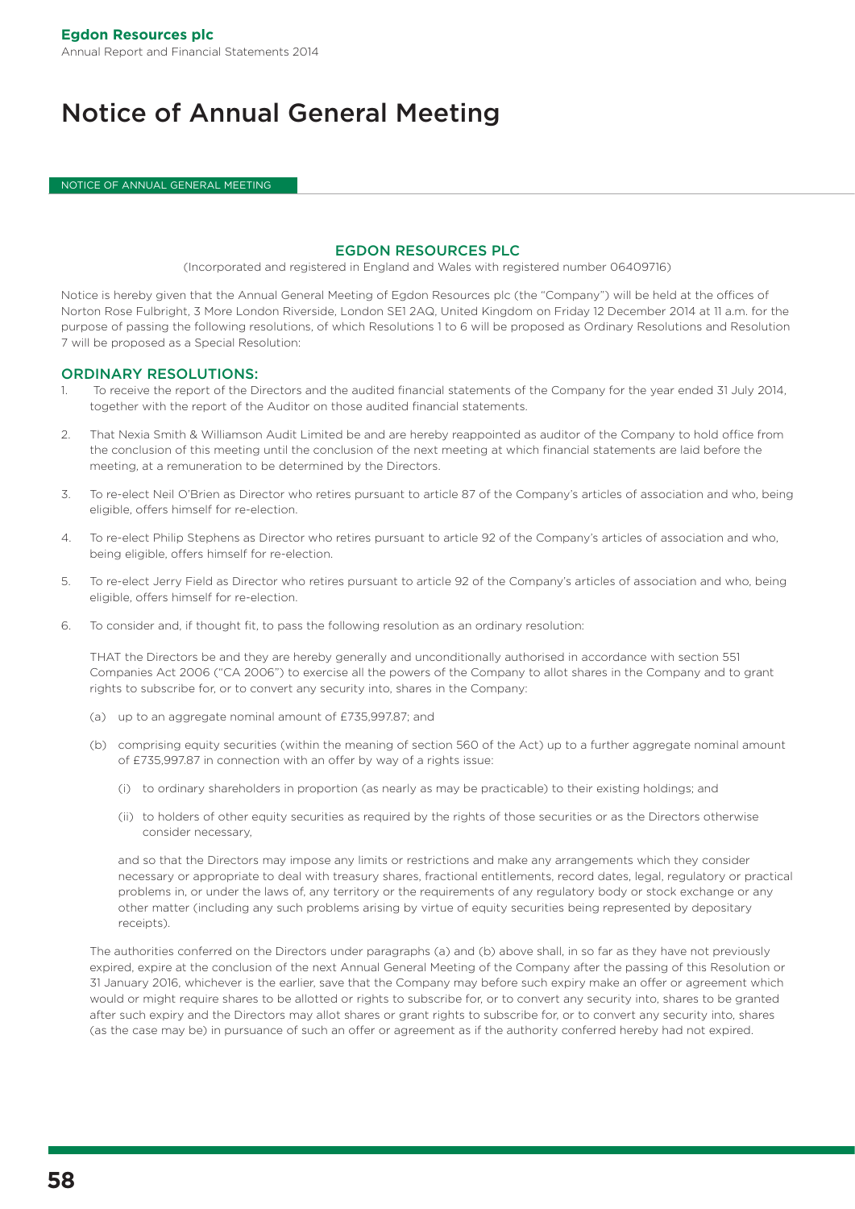## Notice of Annual General Meeting

NOTICE OF ANNUAL GENERAL MEETING

#### EGDON RESOURCES PLC

(Incorporated and registered in England and Wales with registered number 06409716)

Notice is hereby given that the Annual General Meeting of Egdon Resources plc (the "Company") will be held at the offices of Norton Rose Fulbright, 3 More London Riverside, London SE1 2AQ, United Kingdom on Friday 12 December 2014 at 11 a.m. for the purpose of passing the following resolutions, of which Resolutions 1 to 6 will be proposed as Ordinary Resolutions and Resolution 7 will be proposed as a Special Resolution:

#### ORDINARY RESOLUTIONS:

- 1. To receive the report of the Directors and the audited financial statements of the Company for the year ended 31 July 2014, together with the report of the Auditor on those audited financial statements.
- 2. That Nexia Smith & Williamson Audit Limited be and are hereby reappointed as auditor of the Company to hold office from the conclusion of this meeting until the conclusion of the next meeting at which financial statements are laid before the meeting, at a remuneration to be determined by the Directors.
- 3. To re-elect Neil O'Brien as Director who retires pursuant to article 87 of the Company's articles of association and who, being eligible, offers himself for re-election.
- 4. To re-elect Philip Stephens as Director who retires pursuant to article 92 of the Company's articles of association and who, being eligible, offers himself for re-election.
- 5. To re-elect Jerry Field as Director who retires pursuant to article 92 of the Company's articles of association and who, being eligible, offers himself for re-election.
- 6. To consider and, if thought fit, to pass the following resolution as an ordinary resolution:

THAT the Directors be and they are hereby generally and unconditionally authorised in accordance with section 551 Companies Act 2006 ("CA 2006") to exercise all the powers of the Company to allot shares in the Company and to grant rights to subscribe for, or to convert any security into, shares in the Company:

- (a) up to an aggregate nominal amount of £735,997.87; and
- (b) comprising equity securities (within the meaning of section 560 of the Act) up to a further aggregate nominal amount of £735,997.87 in connection with an offer by way of a rights issue:
	- (i) to ordinary shareholders in proportion (as nearly as may be practicable) to their existing holdings; and
	- (ii) to holders of other equity securities as required by the rights of those securities or as the Directors otherwise consider necessary,

and so that the Directors may impose any limits or restrictions and make any arrangements which they consider necessary or appropriate to deal with treasury shares, fractional entitlements, record dates, legal, regulatory or practical problems in, or under the laws of, any territory or the requirements of any regulatory body or stock exchange or any other matter (including any such problems arising by virtue of equity securities being represented by depositary receipts).

The authorities conferred on the Directors under paragraphs (a) and (b) above shall, in so far as they have not previously expired, expire at the conclusion of the next Annual General Meeting of the Company after the passing of this Resolution or 31 January 2016, whichever is the earlier, save that the Company may before such expiry make an offer or agreement which would or might require shares to be allotted or rights to subscribe for, or to convert any security into, shares to be granted after such expiry and the Directors may allot shares or grant rights to subscribe for, or to convert any security into, shares (as the case may be) in pursuance of such an offer or agreement as if the authority conferred hereby had not expired.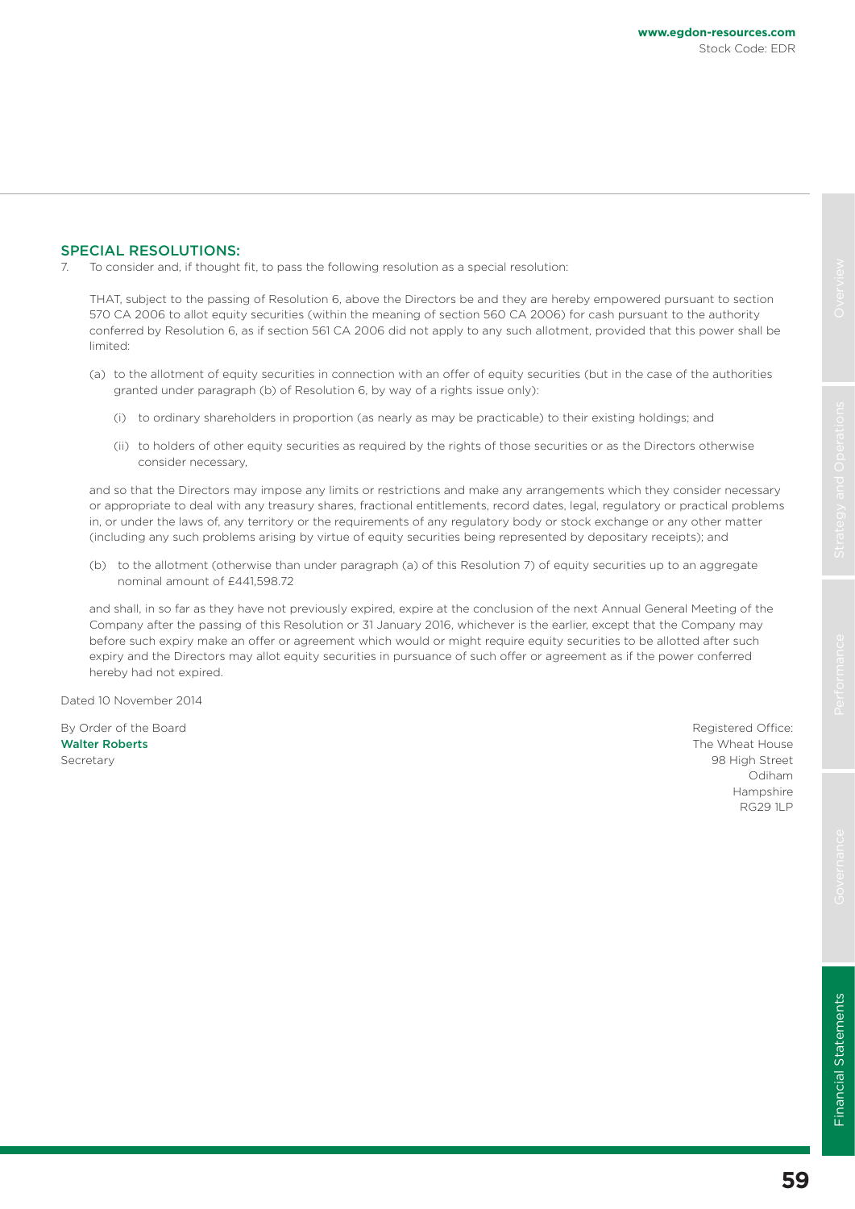#### SPECIAL RESOLUTIONS:

7. To consider and, if thought fit, to pass the following resolution as a special resolution:

THAT, subject to the passing of Resolution 6, above the Directors be and they are hereby empowered pursuant to section 570 CA 2006 to allot equity securities (within the meaning of section 560 CA 2006) for cash pursuant to the authority conferred by Resolution 6, as if section 561 CA 2006 did not apply to any such allotment, provided that this power shall be limited:

- (a) to the allotment of equity securities in connection with an offer of equity securities (but in the case of the authorities granted under paragraph (b) of Resolution 6, by way of a rights issue only):
	- (i) to ordinary shareholders in proportion (as nearly as may be practicable) to their existing holdings; and
	- (ii) to holders of other equity securities as required by the rights of those securities or as the Directors otherwise consider necessary,

and so that the Directors may impose any limits or restrictions and make any arrangements which they consider necessary or appropriate to deal with any treasury shares, fractional entitlements, record dates, legal, regulatory or practical problems in, or under the laws of, any territory or the requirements of any regulatory body or stock exchange or any other matter (including any such problems arising by virtue of equity securities being represented by depositary receipts); and

(b) to the allotment (otherwise than under paragraph (a) of this Resolution 7) of equity securities up to an aggregate nominal amount of £441,598.72

and shall, in so far as they have not previously expired, expire at the conclusion of the next Annual General Meeting of the Company after the passing of this Resolution or 31 January 2016, whichever is the earlier, except that the Company may before such expiry make an offer or agreement which would or might require equity securities to be allotted after such expiry and the Directors may allot equity securities in pursuance of such offer or agreement as if the power conferred hereby had not expired.

Dated 10 November 2014

By Order of the Board **Registered Office: By Order of the Board** Registered Office: Walter Roberts **The Wheat House** The Wheat House **The Wheat House** Secretary 98 High Street 2002 12:00 12:00 12:00 12:00 12:00 12:00 12:00 12:00 12:00 12:00 12:00 12:00 12:00 12:00 12:00 12:00 12:00 12:00 12:00 12:00 12:00 12:00 12:00 12:00 12:00 12:00 12:00 12:00 12:00 12:00 12:00 12:00

Odiham Hampshire RG29 1LP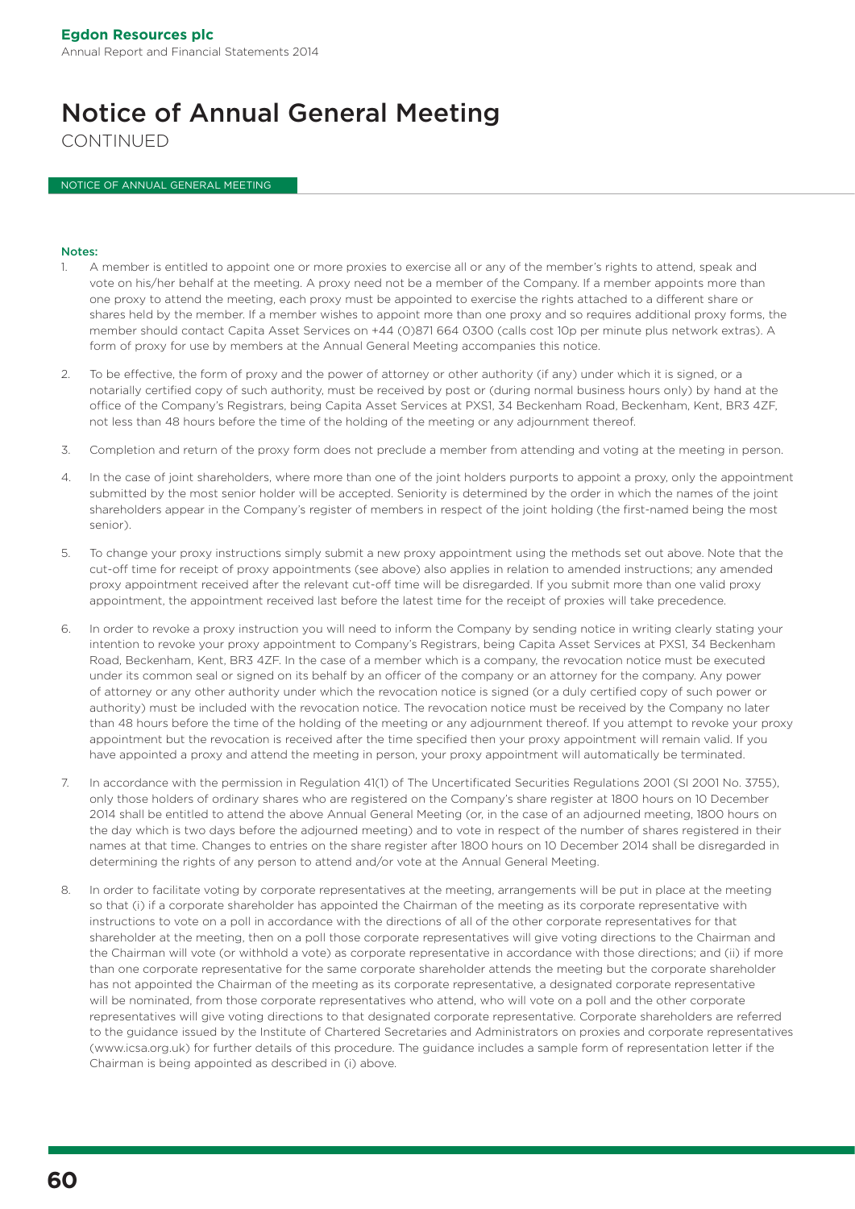# Notice of Annual General Meeting

CONTINUED

NOTICE OF ANNUAL GENERAL MEETING

#### Notes:

- 1. A member is entitled to appoint one or more proxies to exercise all or any of the member's rights to attend, speak and vote on his/her behalf at the meeting. A proxy need not be a member of the Company. If a member appoints more than one proxy to attend the meeting, each proxy must be appointed to exercise the rights attached to a different share or shares held by the member. If a member wishes to appoint more than one proxy and so requires additional proxy forms, the member should contact Capita Asset Services on +44 (0)871 664 0300 (calls cost 10p per minute plus network extras). A form of proxy for use by members at the Annual General Meeting accompanies this notice.
- 2. To be effective, the form of proxy and the power of attorney or other authority (if any) under which it is signed, or a notarially certified copy of such authority, must be received by post or (during normal business hours only) by hand at the office of the Company's Registrars, being Capita Asset Services at PXS1, 34 Beckenham Road, Beckenham, Kent, BR3 4ZF, not less than 48 hours before the time of the holding of the meeting or any adjournment thereof.
- 3. Completion and return of the proxy form does not preclude a member from attending and voting at the meeting in person.
- 4. In the case of joint shareholders, where more than one of the joint holders purports to appoint a proxy, only the appointment submitted by the most senior holder will be accepted. Seniority is determined by the order in which the names of the joint shareholders appear in the Company's register of members in respect of the joint holding (the first-named being the most senior).
- 5. To change your proxy instructions simply submit a new proxy appointment using the methods set out above. Note that the cut-off time for receipt of proxy appointments (see above) also applies in relation to amended instructions; any amended proxy appointment received after the relevant cut-off time will be disregarded. If you submit more than one valid proxy appointment, the appointment received last before the latest time for the receipt of proxies will take precedence.
- 6. In order to revoke a proxy instruction you will need to inform the Company by sending notice in writing clearly stating your intention to revoke your proxy appointment to Company's Registrars, being Capita Asset Services at PXS1, 34 Beckenham Road, Beckenham, Kent, BR3 4ZF. In the case of a member which is a company, the revocation notice must be executed under its common seal or signed on its behalf by an officer of the company or an attorney for the company. Any power of attorney or any other authority under which the revocation notice is signed (or a duly certified copy of such power or authority) must be included with the revocation notice. The revocation notice must be received by the Company no later than 48 hours before the time of the holding of the meeting or any adjournment thereof. If you attempt to revoke your proxy appointment but the revocation is received after the time specified then your proxy appointment will remain valid. If you have appointed a proxy and attend the meeting in person, your proxy appointment will automatically be terminated.
- 7. In accordance with the permission in Regulation 41(1) of The Uncertificated Securities Regulations 2001 (SI 2001 No. 3755), only those holders of ordinary shares who are registered on the Company's share register at 1800 hours on 10 December 2014 shall be entitled to attend the above Annual General Meeting (or, in the case of an adjourned meeting, 1800 hours on the day which is two days before the adjourned meeting) and to vote in respect of the number of shares registered in their names at that time. Changes to entries on the share register after 1800 hours on 10 December 2014 shall be disregarded in determining the rights of any person to attend and/or vote at the Annual General Meeting.
- 8. In order to facilitate voting by corporate representatives at the meeting, arrangements will be put in place at the meeting so that (i) if a corporate shareholder has appointed the Chairman of the meeting as its corporate representative with instructions to vote on a poll in accordance with the directions of all of the other corporate representatives for that shareholder at the meeting, then on a poll those corporate representatives will give voting directions to the Chairman and the Chairman will vote (or withhold a vote) as corporate representative in accordance with those directions; and (ii) if more than one corporate representative for the same corporate shareholder attends the meeting but the corporate shareholder has not appointed the Chairman of the meeting as its corporate representative, a designated corporate representative will be nominated, from those corporate representatives who attend, who will vote on a poll and the other corporate representatives will give voting directions to that designated corporate representative. Corporate shareholders are referred to the guidance issued by the Institute of Chartered Secretaries and Administrators on proxies and corporate representatives (www.icsa.org.uk) for further details of this procedure. The guidance includes a sample form of representation letter if the Chairman is being appointed as described in (i) above.